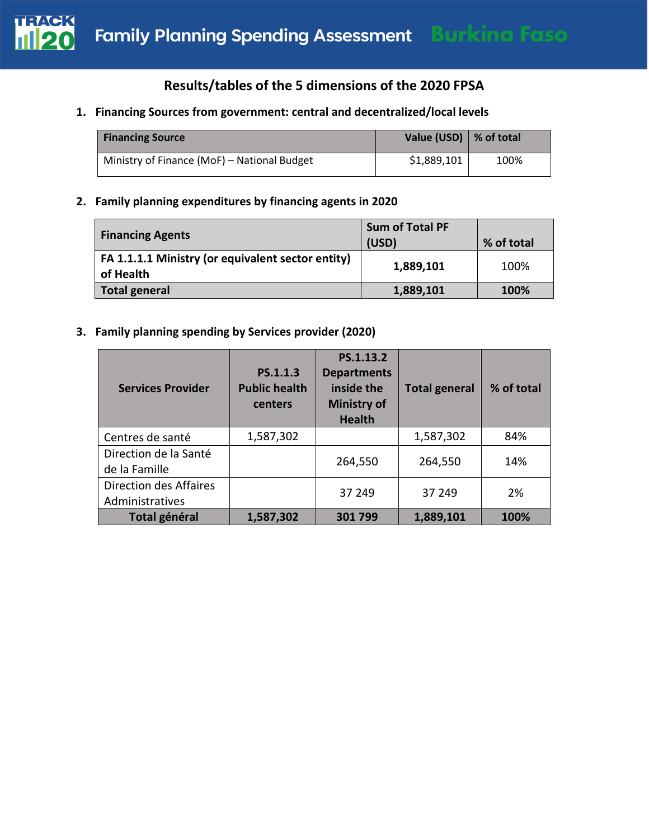

# **Results/tables of the 5 dimensions of the 2020 FPSA**

## **1. Financing Sources from government: central and decentralized/local levels**

| <b>Financing Source</b>                     | Value (USD) $\vert$ % of total |      |
|---------------------------------------------|--------------------------------|------|
| Ministry of Finance (MoF) - National Budget | \$1,889,101                    | 100% |

#### **2. Family planning expenditures by financing agents in 2020**

| <b>Financing Agents</b>                                        | <b>Sum of Total PF</b><br>(USD) | % of total |
|----------------------------------------------------------------|---------------------------------|------------|
| FA 1.1.1.1 Ministry (or equivalent sector entity)<br>of Health | 1,889,101                       | 100%       |
| <b>Total general</b>                                           | 1,889,101                       | 100%       |

## **3. Family planning spending by Services provider (2020)**

| <b>Services Provider</b>                  | PS.1.1.3<br><b>Public health</b><br>centers | PS.1.13.2<br><b>Departments</b><br>inside the<br><b>Ministry of</b><br><b>Health</b> | <b>Total general</b> | % of total |
|-------------------------------------------|---------------------------------------------|--------------------------------------------------------------------------------------|----------------------|------------|
| Centres de santé                          | 1,587,302                                   |                                                                                      | 1,587,302            | 84%        |
| Direction de la Santé<br>de la Famille    |                                             | 264,550                                                                              | 264,550              | 14%        |
| Direction des Affaires<br>Administratives |                                             | 37 249                                                                               | 37 249               | 2%         |
| <b>Total général</b>                      | 1,587,302                                   | 301799                                                                               | 1,889,101            | 100%       |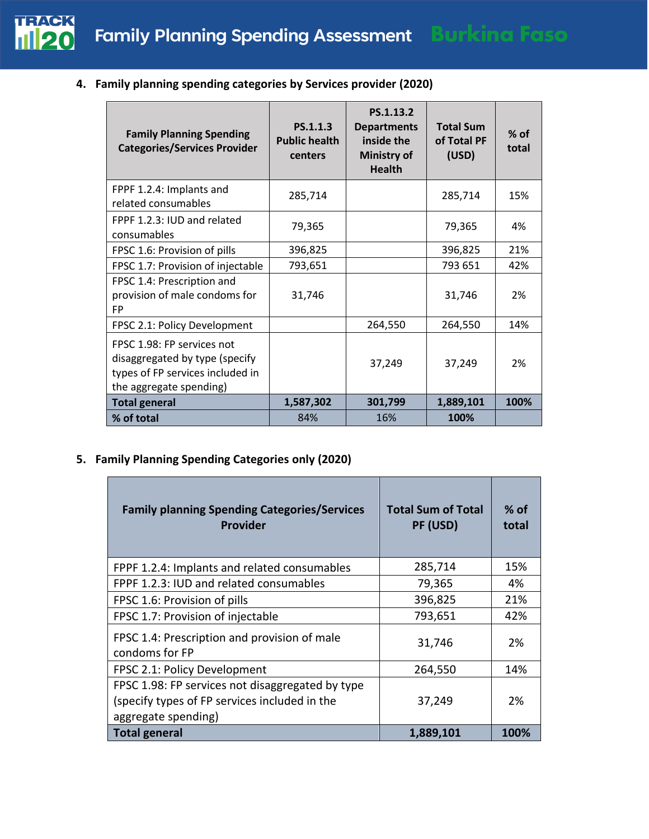

**4. Family planning spending categories by Services provider (2020)**

| <b>Family Planning Spending</b><br><b>Categories/Services Provider</b>                                                      | PS.1.1.3<br><b>Public health</b><br>centers | PS.1.13.2<br><b>Departments</b><br>inside the<br><b>Ministry of</b><br><b>Health</b> | <b>Total Sum</b><br>of Total PF<br>(USD) | $%$ of<br>total |
|-----------------------------------------------------------------------------------------------------------------------------|---------------------------------------------|--------------------------------------------------------------------------------------|------------------------------------------|-----------------|
| FPPF 1.2.4: Implants and<br>related consumables                                                                             | 285,714                                     |                                                                                      | 285,714                                  | 15%             |
| FPPF 1.2.3: IUD and related<br>consumables                                                                                  | 79,365                                      |                                                                                      | 79,365                                   | 4%              |
| FPSC 1.6: Provision of pills                                                                                                | 396,825                                     |                                                                                      | 396,825                                  | 21%             |
| FPSC 1.7: Provision of injectable                                                                                           | 793,651                                     |                                                                                      | 793 651                                  | 42%             |
| FPSC 1.4: Prescription and<br>provision of male condoms for<br><b>FP</b>                                                    | 31,746                                      |                                                                                      | 31,746                                   | 2%              |
| FPSC 2.1: Policy Development                                                                                                |                                             | 264,550                                                                              | 264,550                                  | 14%             |
| FPSC 1.98: FP services not<br>disaggregated by type (specify<br>types of FP services included in<br>the aggregate spending) |                                             | 37,249                                                                               | 37,249                                   | 2%              |
| <b>Total general</b>                                                                                                        | 1,587,302                                   | 301,799                                                                              | 1,889,101                                | 100%            |
| % of total                                                                                                                  | 84%                                         | 16%                                                                                  | 100%                                     |                 |

## **5. Family Planning Spending Categories only (2020)**

| <b>Family planning Spending Categories/Services</b><br><b>Provider</b> | <b>Total Sum of Total</b><br>PF (USD) | $%$ of<br>total |
|------------------------------------------------------------------------|---------------------------------------|-----------------|
| FPPF 1.2.4: Implants and related consumables                           | 285,714                               | 15%             |
| FPPF 1.2.3: IUD and related consumables                                | 79,365                                | 4%              |
| FPSC 1.6: Provision of pills                                           | 396,825                               | 21%             |
| FPSC 1.7: Provision of injectable                                      | 793,651                               | 42%             |
| FPSC 1.4: Prescription and provision of male<br>condoms for FP         | 31,746                                | 2%              |
| FPSC 2.1: Policy Development                                           | 264,550                               | 14%             |
| FPSC 1.98: FP services not disaggregated by type                       |                                       |                 |
| (specify types of FP services included in the                          | 37,249                                | 2%              |
| aggregate spending)                                                    |                                       |                 |
| <b>Total general</b>                                                   | 1,889,101                             | 100%            |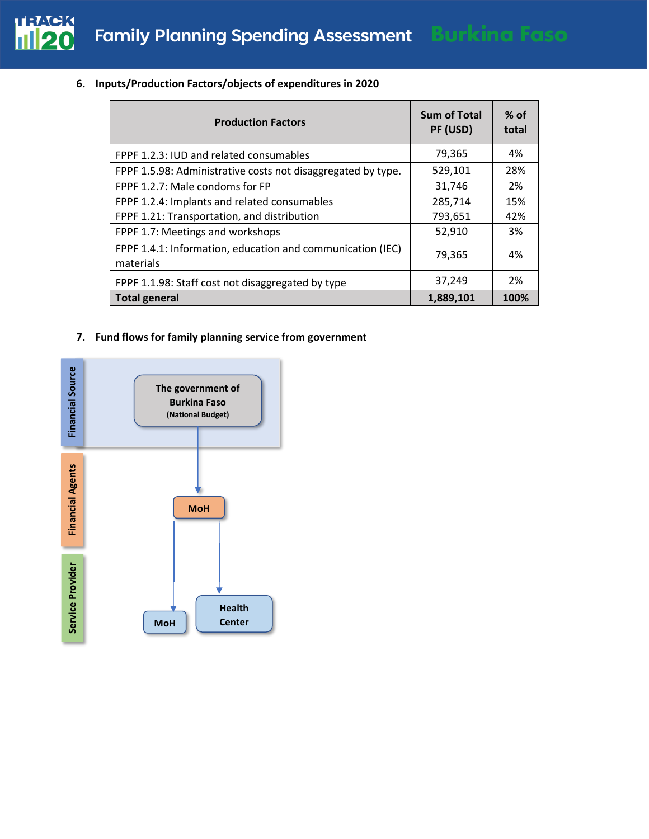

|  | 6. Inputs/Production Factors/objects of expenditures in 2020 |  |  |  |
|--|--------------------------------------------------------------|--|--|--|
|--|--------------------------------------------------------------|--|--|--|

| <b>Production Factors</b>                                               | <b>Sum of Total</b><br>PF (USD) | $%$ of<br>total |
|-------------------------------------------------------------------------|---------------------------------|-----------------|
| FPPF 1.2.3: IUD and related consumables                                 | 79,365                          | 4%              |
| FPPF 1.5.98: Administrative costs not disaggregated by type.            | 529,101                         | 28%             |
| FPPF 1.2.7: Male condoms for FP                                         | 31,746                          | 2%              |
| FPPF 1.2.4: Implants and related consumables                            | 285,714                         | 15%             |
| FPPF 1.21: Transportation, and distribution                             | 793,651                         | 42%             |
| FPPF 1.7: Meetings and workshops                                        | 52,910                          | 3%              |
| FPPF 1.4.1: Information, education and communication (IEC)<br>materials | 79.365                          | 4%              |
| FPPF 1.1.98: Staff cost not disaggregated by type                       | 37,249                          | 2%              |
| <b>Total general</b>                                                    | 1,889,101                       | 100%            |

#### **7. Fund flows for family planning service from government**